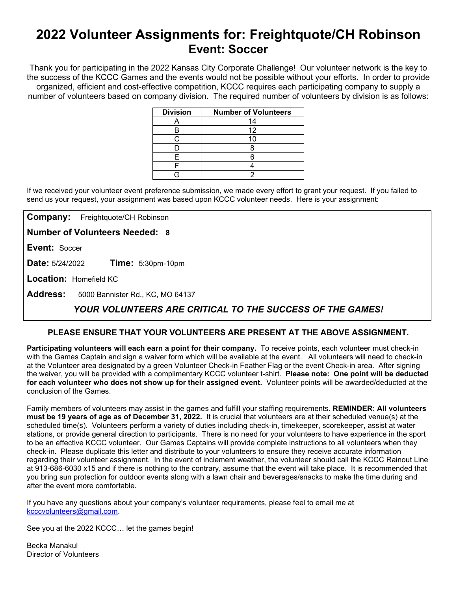# **2022 Volunteer Assignments for: Freightquote/CH Robinson Event: Soccer**

Thank you for participating in the 2022 Kansas City Corporate Challenge! Our volunteer network is the key to the success of the KCCC Games and the events would not be possible without your efforts.In order to provide organized, efficient and cost-effective competition, KCCC requires each participating company to supply a number of volunteers based on company division. The required number of volunteers by division is as follows:

| <b>Division</b> | <b>Number of Volunteers</b> |
|-----------------|-----------------------------|
|                 | 14                          |
| в               | 12                          |
| ◠               | 10                          |
|                 |                             |
| F               |                             |
|                 |                             |
|                 |                             |

If we received your volunteer event preference submission, we made every effort to grant your request. If you failed to send us your request, your assignment was based upon KCCC volunteer needs. Here is your assignment:

**Company:** Freightquote/CH Robinson

**Number of Volunteers Needed: 8**

**Event:** Soccer

**Date:** 5/24/2022 **Time:** 5:30pm-10pm

**Location:** Homefield KC

**Address:** 5000 Bannister Rd., KC, MO 64137

## *YOUR VOLUNTEERS ARE CRITICAL TO THE SUCCESS OF THE GAMES!*

### **PLEASE ENSURE THAT YOUR VOLUNTEERS ARE PRESENT AT THE ABOVE ASSIGNMENT.**

**Participating volunteers will each earn a point for their company.** To receive points, each volunteer must check-in with the Games Captain and sign a waiver form which will be available at the event. All volunteers will need to check-in at the Volunteer area designated by a green Volunteer Check-in Feather Flag or the event Check-in area. After signing the waiver, you will be provided with a complimentary KCCC volunteer t-shirt. **Please note: One point will be deducted for each volunteer who does not show up for their assigned event.** Volunteer points will be awarded/deducted at the conclusion of the Games.

Family members of volunteers may assist in the games and fulfill your staffing requirements. **REMINDER: All volunteers must be 19 years of age as of December 31, 2022.** It is crucial that volunteers are at their scheduled venue(s) at the scheduled time(s). Volunteers perform a variety of duties including check-in, timekeeper, scorekeeper, assist at water stations, or provide general direction to participants. There is no need for your volunteers to have experience in the sport to be an effective KCCC volunteer. Our Games Captains will provide complete instructions to all volunteers when they check-in. Please duplicate this letter and distribute to your volunteers to ensure they receive accurate information regarding their volunteer assignment. In the event of inclement weather, the volunteer should call the KCCC Rainout Line at 913-686-6030 x15 and if there is nothing to the contrary, assume that the event will take place. It is recommended that you bring sun protection for outdoor events along with a lawn chair and beverages/snacks to make the time during and after the event more comfortable.

If you have any questions about your company's volunteer requirements, please feel to email me at [kcccvolunteers@gmail.com.](mailto:kcccvolunteers@gmail.com)

See you at the 2022 KCCC… let the games begin!

Becka Manakul Director of Volunteers